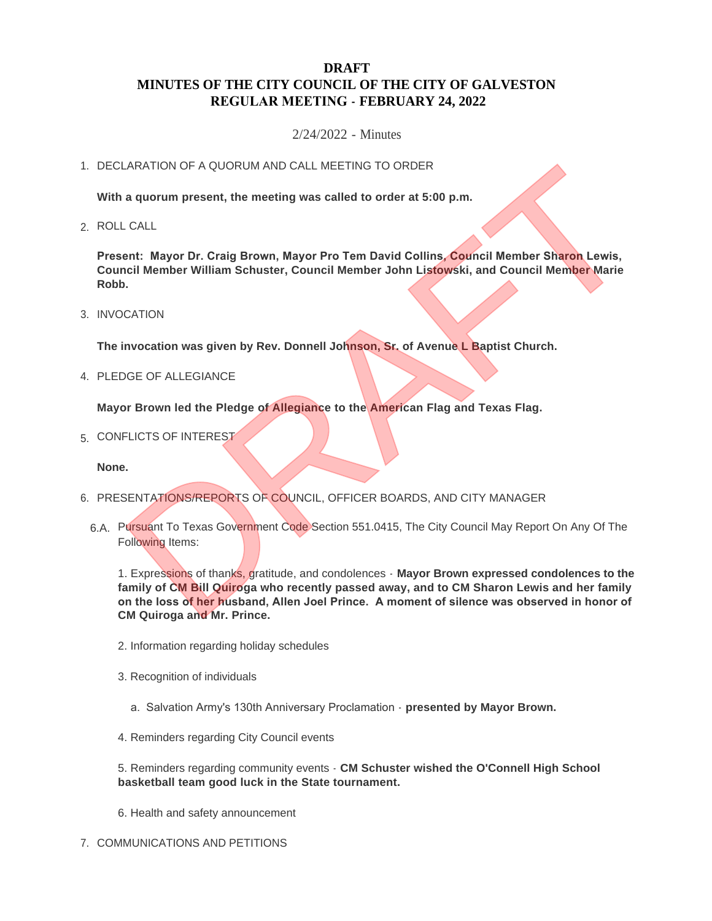# **DRAFT MINUTES OF THE CITY COUNCIL OF THE CITY OF GALVESTON REGULAR MEETING - FEBRUARY 24, 2022**

2/24/2022 - Minutes

## 1. DECLARATION OF A QUORUM AND CALL MEETING TO ORDER

**With a quorum present, the meeting was called to order at 5:00 p.m.**

ROLL CALL 2.

**Present: Mayor Dr. Craig Brown, Mayor Pro Tem David Collins, Council Member Sharon Lewis, Council Member William Schuster, Council Member John Listowski, and Council Member Marie Robb.**

3. INVOCATION

**The invocation was given by Rev. Donnell Johnson, Sr. of Avenue L Baptist Church.**

4. PLEDGE OF ALLEGIANCE

**Mayor Brown led the Pledge of Allegiance to the American Flag and Texas Flag.**

5. CONFLICTS OF INTEREST

**None.**

- 6. PRESENTATIONS/REPORTS OF COUNCIL, OFFICER BOARDS, AND CITY MANAGER
	- 6.A. Pursuant To Texas Government Code Section 551.0415, The City Council May Report On Any Of The Following Items:

1. Expressions of thanks, gratitude, and condolences - **Mayor Brown expressed condolences to the family of CM Bill Quiroga who recently passed away, and to CM Sharon Lewis and her family on the loss of her husband, Allen Joel Prince. A moment of silence was observed in honor of CM Quiroga and Mr. Prince.** THE THE MANUARY CALL MEETING TO ORDER<br>
a quorum present, the meeting was called to order at 5:00 p.m.<br>
CALL<br>
ent: Mayor Dr. Craig Brown, Mayor Pro Tem David Collins, Council Member Sharon Lewis,<br>
DRAFTION<br>
DRAFTION<br>
DRAFTI

- 2. Information regarding holiday schedules
- 3. Recognition of individuals
	- a. Salvation Army's 130th Anniversary Proclamation **presented by Mayor Brown.**
- 4. Reminders regarding City Council events

5. Reminders regarding community events - **CM Schuster wished the O'Connell High School basketball team good luck in the State tournament.**

6. Health and safety announcement

7. COMMUNICATIONS AND PETITIONS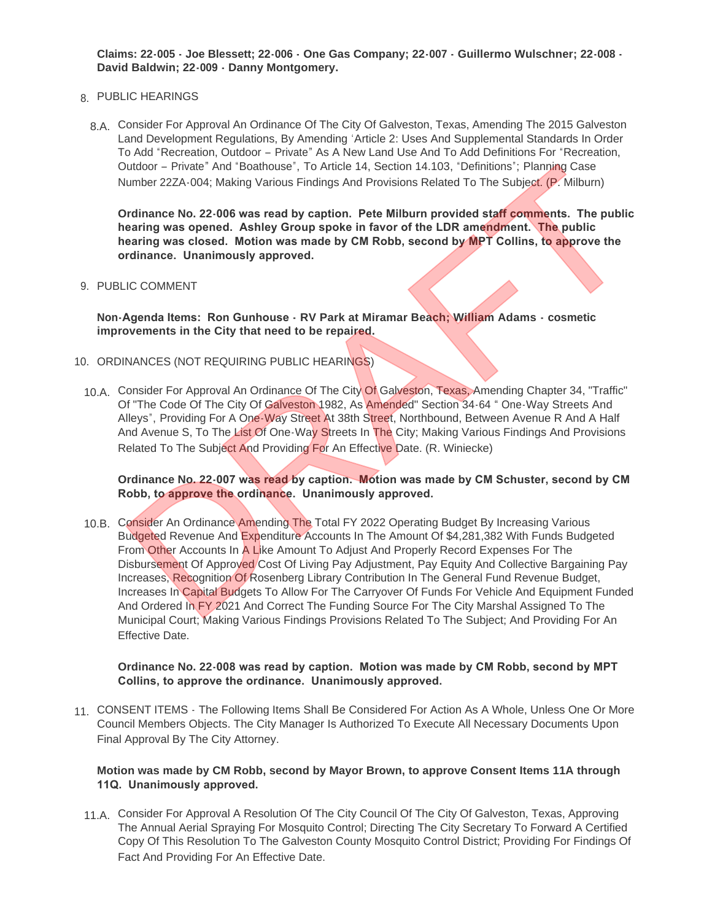**Claims: 22-005 - Joe Blessett; 22-006 - One Gas Company; 22-007 - Guillermo Wulschner; 22-008 - David Baldwin; 22-009 - Danny Montgomery.**

## PUBLIC HEARINGS 8.

Consider For Approval An Ordinance Of The City Of Galveston, Texas, Amending The 2015 Galveston 8.A. Land Development Regulations, By Amending 'Article 2: Uses And Supplemental Standards In Order To Add "Recreation, Outdoor – Private" As A New Land Use And To Add Definitions For "Recreation, Outdoor – Private" And "Boathouse", To Article 14, Section 14.103, "Definitions"; Planning Case Number 22ZA-004; Making Various Findings And Provisions Related To The Subject. (P. Milburn)

**Ordinance No. 22-006 was read by caption. Pete Milburn provided staff comments. The public hearing was opened. Ashley Group spoke in favor of the LDR amendment. The public hearing was closed. Motion was made by CM Robb, second by MPT Collins, to approve the ordinance. Unanimously approved.**

#### 9. PUBLIC COMMENT

**Non-Agenda Items: Ron Gunhouse - RV Park at Miramar Beach; William Adams - cosmetic improvements in the City that need to be repaired.**

- 10. ORDINANCES (NOT REQUIRING PUBLIC HEARINGS)
	- 10.A. Consider For Approval An Ordinance Of The City Of Galveston, Texas, Amending Chapter 34, "Traffic" Of "The Code Of The City Of Galveston 1982, As Amended" Section 34-64 " One-Way Streets And Alleys", Providing For A One-Way Street At 38th Street, Northbound, Between Avenue R And A Half And Avenue S, To The List Of One-Way Streets In The City; Making Various Findings And Provisions Related To The Subject And Providing For An Effective Date. (R. Winiecke)

**Ordinance No. 22-007 was read by caption. Motion was made by CM Schuster, second by CM Robb, to approve the ordinance. Unanimously approved.**

10.B. Consider An Ordinance Amending The Total FY 2022 Operating Budget By Increasing Various Budgeted Revenue And Expenditure Accounts In The Amount Of \$4,281,382 With Funds Budgeted From Other Accounts In A Like Amount To Adjust And Properly Record Expenses For The Disbursement Of Approved Cost Of Living Pay Adjustment, Pay Equity And Collective Bargaining Pay Increases, Recognition Of Rosenberg Library Contribution In The General Fund Revenue Budget, Increases In Capital Budgets To Allow For The Carryover Of Funds For Vehicle And Equipment Funded And Ordered In FY 2021 And Correct The Funding Source For The City Marshal Assigned To The Municipal Court; Making Various Findings Provisions Related To The Subject; And Providing For An Effective Date. 0utdoor – Private" And "Boathouse", To Article 14, Section 14.103, 'Definitions'; Planning Case<br>
iumber 22ZA-004; Making Various Findings And Provisions Related To The Subject, (P. Milburn)<br>
by diament No. 22-006 was read

#### **Ordinance No. 22-008 was read by caption. Motion was made by CM Robb, second by MPT Collins, to approve the ordinance. Unanimously approved.**

11. CONSENT ITEMS - The Following Items Shall Be Considered For Action As A Whole, Unless One Or More Council Members Objects. The City Manager Is Authorized To Execute All Necessary Documents Upon Final Approval By The City Attorney.

## **Motion was made by CM Robb, second by Mayor Brown, to approve Consent Items 11A through 11Q. Unanimously approved.**

11.A. Consider For Approval A Resolution Of The City Council Of The City Of Galveston, Texas, Approving The Annual Aerial Spraying For Mosquito Control; Directing The City Secretary To Forward A Certified Copy Of This Resolution To The Galveston County Mosquito Control District; Providing For Findings Of Fact And Providing For An Effective Date.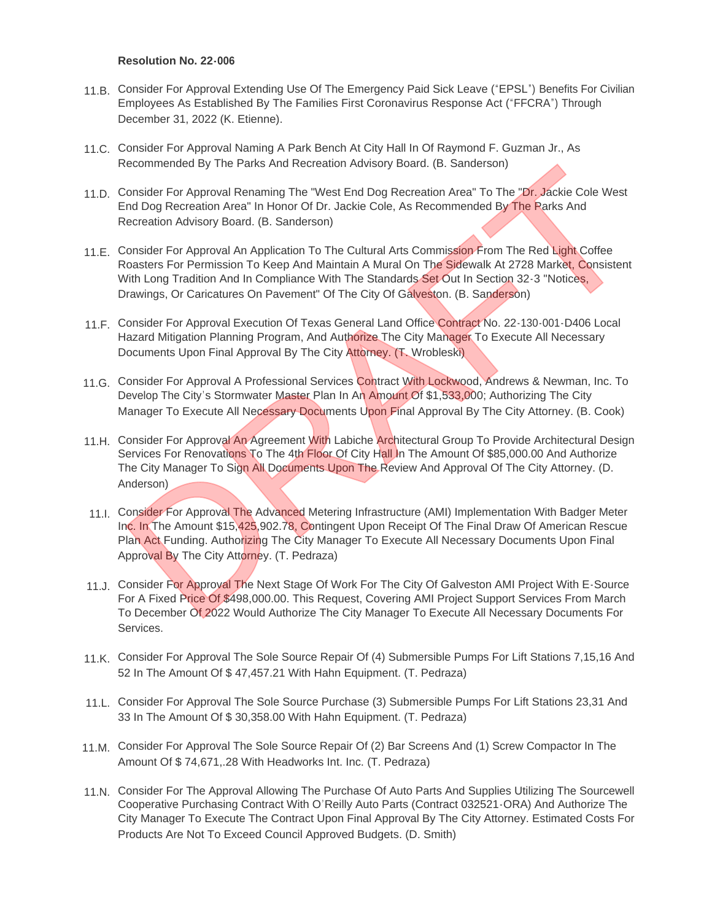#### **Resolution No. 22-006**

- 11.B. Consider For Approval Extending Use Of The Emergency Paid Sick Leave ("EPSL") Benefits For Civilian Employees As Established By The Families First Coronavirus Response Act ("FFCRA") Through December 31, 2022 (K. Etienne).
- 11.C. Consider For Approval Naming A Park Bench At City Hall In Of Raymond F. Guzman Jr., As Recommended By The Parks And Recreation Advisory Board. (B. Sanderson)
- 11.D. Consider For Approval Renaming The "West End Dog Recreation Area" To The "Dr. Jackie Cole West End Dog Recreation Area" In Honor Of Dr. Jackie Cole, As Recommended By The Parks And Recreation Advisory Board. (B. Sanderson)
- 11.E. Consider For Approval An Application To The Cultural Arts Commission From The Red Light Coffee Roasters For Permission To Keep And Maintain A Mural On The Sidewalk At 2728 Market, Consistent With Long Tradition And In Compliance With The Standards Set Out In Section 32-3 "Notices, Drawings, Or Caricatures On Pavement" Of The City Of Galveston. (B. Sanderson)
- 11.F. Consider For Approval Execution Of Texas General Land Office Contract No. 22-130-001-D406 Local Hazard Mitigation Planning Program, And Authorize The City Manager To Execute All Necessary Documents Upon Final Approval By The City Attorney. (T. Wrobleski)
- 11.G. Consider For Approval A Professional Services Contract With Lockwood, Andrews & Newman, Inc. To Develop The City's Stormwater Master Plan In An Amount Of \$1,533,000; Authorizing The City Manager To Execute All Necessary Documents Upon Final Approval By The City Attorney. (B. Cook)
- 11.H. Consider For Approval An Agreement With Labiche Architectural Group To Provide Architectural Design Services For Renovations To The 4th Floor Of City Hall In The Amount Of \$85,000.00 And Authorize The City Manager To Sign All Documents Upon The Review And Approval Of The City Attorney. (D. Anderson) Recommended By The Parks And Recreation Advisory Board. (B. Sanderson)<br>Consider For Approval Renaming The "West End Dog Recreation Area" To The "Dr. Jackie Cole West<br>Consider For Approval Analysing The "West End Dog Recrea
- 11.I. Consider For Approval The Advanced Metering Infrastructure (AMI) Implementation With Badger Meter Inc. In The Amount \$15,425,902.78, Contingent Upon Receipt Of The Final Draw Of American Rescue Plan Act Funding. Authorizing The City Manager To Execute All Necessary Documents Upon Final Approval By The City Attorney. (T. Pedraza)
- 11.J. Consider For Approval The Next Stage Of Work For The City Of Galveston AMI Project With E-Source For A Fixed Price Of \$498,000.00. This Request, Covering AMI Project Support Services From March To December Of 2022 Would Authorize The City Manager To Execute All Necessary Documents For Services.
- 11.K. Consider For Approval The Sole Source Repair Of (4) Submersible Pumps For Lift Stations 7,15,16 And 52 In The Amount Of \$ 47,457.21 With Hahn Equipment. (T. Pedraza)
- 11.L. Consider For Approval The Sole Source Purchase (3) Submersible Pumps For Lift Stations 23,31 And 33 In The Amount Of \$ 30,358.00 With Hahn Equipment. (T. Pedraza)
- 11.M. Consider For Approval The Sole Source Repair Of (2) Bar Screens And (1) Screw Compactor In The Amount Of \$ 74,671,.28 With Headworks Int. Inc. (T. Pedraza)
- 11.N. Consider For The Approval Allowing The Purchase Of Auto Parts And Supplies Utilizing The Sourcewell Cooperative Purchasing Contract With O'Reilly Auto Parts (Contract 032521-ORA) And Authorize The City Manager To Execute The Contract Upon Final Approval By The City Attorney. Estimated Costs For Products Are Not To Exceed Council Approved Budgets. (D. Smith)